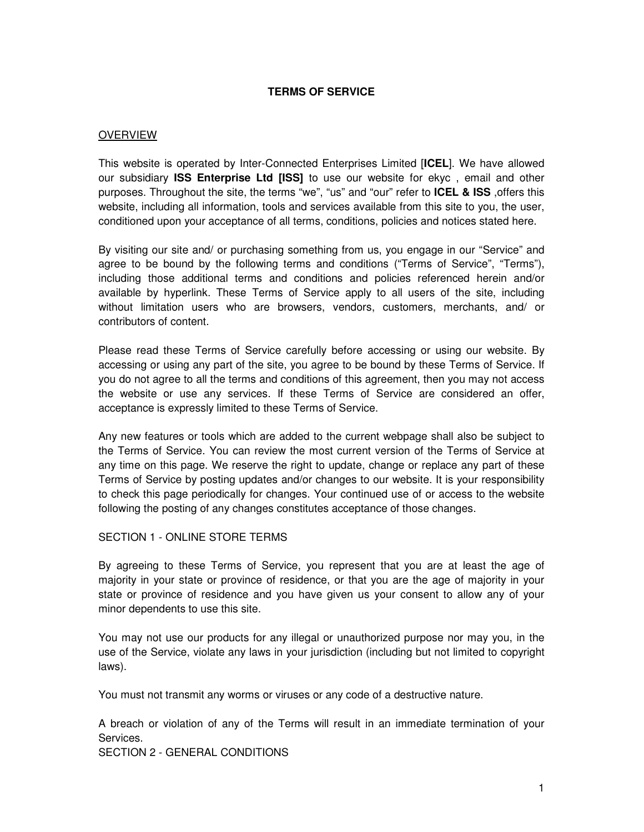#### **TERMS OF SERVICE**

# OVERVIEW

This website is operated by Inter-Connected Enterprises Limited [**ICEL**]. We have allowed our subsidiary **ISS Enterprise Ltd [ISS]** to use our website for ekyc , email and other purposes. Throughout the site, the terms "we", "us" and "our" refer to **ICEL & ISS** ,offers this website, including all information, tools and services available from this site to you, the user, conditioned upon your acceptance of all terms, conditions, policies and notices stated here.

By visiting our site and/ or purchasing something from us, you engage in our "Service" and agree to be bound by the following terms and conditions ("Terms of Service", "Terms"), including those additional terms and conditions and policies referenced herein and/or available by hyperlink. These Terms of Service apply to all users of the site, including without limitation users who are browsers, vendors, customers, merchants, and/ or contributors of content.

Please read these Terms of Service carefully before accessing or using our website. By accessing or using any part of the site, you agree to be bound by these Terms of Service. If you do not agree to all the terms and conditions of this agreement, then you may not access the website or use any services. If these Terms of Service are considered an offer, acceptance is expressly limited to these Terms of Service.

Any new features or tools which are added to the current webpage shall also be subject to the Terms of Service. You can review the most current version of the Terms of Service at any time on this page. We reserve the right to update, change or replace any part of these Terms of Service by posting updates and/or changes to our website. It is your responsibility to check this page periodically for changes. Your continued use of or access to the website following the posting of any changes constitutes acceptance of those changes.

#### SECTION 1 - ONLINE STORE TERMS

By agreeing to these Terms of Service, you represent that you are at least the age of majority in your state or province of residence, or that you are the age of majority in your state or province of residence and you have given us your consent to allow any of your minor dependents to use this site.

You may not use our products for any illegal or unauthorized purpose nor may you, in the use of the Service, violate any laws in your jurisdiction (including but not limited to copyright laws).

You must not transmit any worms or viruses or any code of a destructive nature.

A breach or violation of any of the Terms will result in an immediate termination of your Services.

SECTION 2 - GENERAL CONDITIONS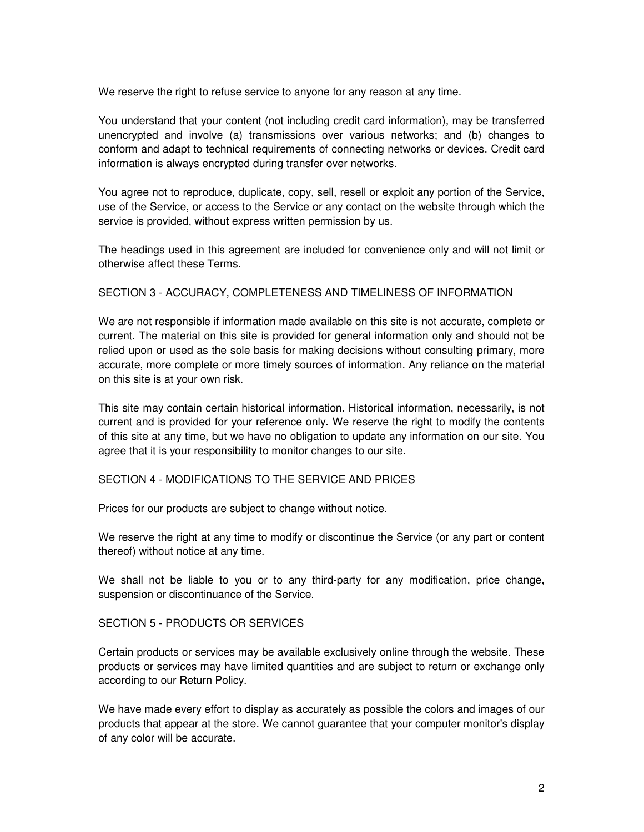We reserve the right to refuse service to anyone for any reason at any time.

You understand that your content (not including credit card information), may be transferred unencrypted and involve (a) transmissions over various networks; and (b) changes to conform and adapt to technical requirements of connecting networks or devices. Credit card information is always encrypted during transfer over networks.

You agree not to reproduce, duplicate, copy, sell, resell or exploit any portion of the Service, use of the Service, or access to the Service or any contact on the website through which the service is provided, without express written permission by us.

The headings used in this agreement are included for convenience only and will not limit or otherwise affect these Terms.

# SECTION 3 - ACCURACY, COMPLETENESS AND TIMELINESS OF INFORMATION

We are not responsible if information made available on this site is not accurate, complete or current. The material on this site is provided for general information only and should not be relied upon or used as the sole basis for making decisions without consulting primary, more accurate, more complete or more timely sources of information. Any reliance on the material on this site is at your own risk.

This site may contain certain historical information. Historical information, necessarily, is not current and is provided for your reference only. We reserve the right to modify the contents of this site at any time, but we have no obligation to update any information on our site. You agree that it is your responsibility to monitor changes to our site.

#### SECTION 4 - MODIFICATIONS TO THE SERVICE AND PRICES

Prices for our products are subject to change without notice.

We reserve the right at any time to modify or discontinue the Service (or any part or content thereof) without notice at any time.

We shall not be liable to you or to any third-party for any modification, price change, suspension or discontinuance of the Service.

#### SECTION 5 - PRODUCTS OR SERVICES

Certain products or services may be available exclusively online through the website. These products or services may have limited quantities and are subject to return or exchange only according to our Return Policy.

We have made every effort to display as accurately as possible the colors and images of our products that appear at the store. We cannot guarantee that your computer monitor's display of any color will be accurate.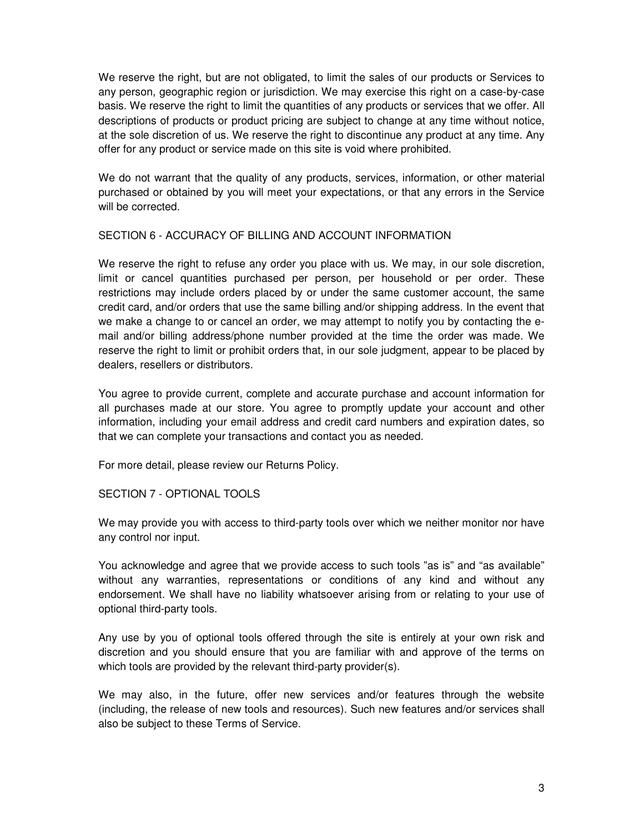We reserve the right, but are not obligated, to limit the sales of our products or Services to any person, geographic region or jurisdiction. We may exercise this right on a case-by-case basis. We reserve the right to limit the quantities of any products or services that we offer. All descriptions of products or product pricing are subject to change at any time without notice, at the sole discretion of us. We reserve the right to discontinue any product at any time. Any offer for any product or service made on this site is void where prohibited.

We do not warrant that the quality of any products, services, information, or other material purchased or obtained by you will meet your expectations, or that any errors in the Service will be corrected.

#### SECTION 6 - ACCURACY OF BILLING AND ACCOUNT INFORMATION

We reserve the right to refuse any order you place with us. We may, in our sole discretion, limit or cancel quantities purchased per person, per household or per order. These restrictions may include orders placed by or under the same customer account, the same credit card, and/or orders that use the same billing and/or shipping address. In the event that we make a change to or cancel an order, we may attempt to notify you by contacting the email and/or billing address/phone number provided at the time the order was made. We reserve the right to limit or prohibit orders that, in our sole judgment, appear to be placed by dealers, resellers or distributors.

You agree to provide current, complete and accurate purchase and account information for all purchases made at our store. You agree to promptly update your account and other information, including your email address and credit card numbers and expiration dates, so that we can complete your transactions and contact you as needed.

For more detail, please review our Returns Policy.

# SECTION 7 - OPTIONAL TOOLS

We may provide you with access to third-party tools over which we neither monitor nor have any control nor input.

You acknowledge and agree that we provide access to such tools "as is" and "as available" without any warranties, representations or conditions of any kind and without any endorsement. We shall have no liability whatsoever arising from or relating to your use of optional third-party tools.

Any use by you of optional tools offered through the site is entirely at your own risk and discretion and you should ensure that you are familiar with and approve of the terms on which tools are provided by the relevant third-party provider(s).

We may also, in the future, offer new services and/or features through the website (including, the release of new tools and resources). Such new features and/or services shall also be subject to these Terms of Service.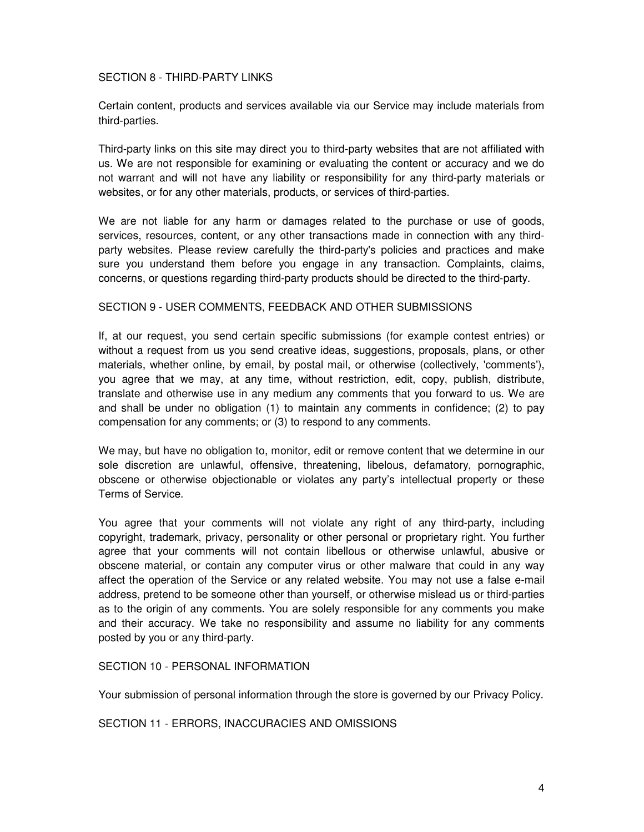# SECTION 8 - THIRD-PARTY LINKS

Certain content, products and services available via our Service may include materials from third-parties.

Third-party links on this site may direct you to third-party websites that are not affiliated with us. We are not responsible for examining or evaluating the content or accuracy and we do not warrant and will not have any liability or responsibility for any third-party materials or websites, or for any other materials, products, or services of third-parties.

We are not liable for any harm or damages related to the purchase or use of goods, services, resources, content, or any other transactions made in connection with any thirdparty websites. Please review carefully the third-party's policies and practices and make sure you understand them before you engage in any transaction. Complaints, claims, concerns, or questions regarding third-party products should be directed to the third-party.

# SECTION 9 - USER COMMENTS, FEEDBACK AND OTHER SUBMISSIONS

If, at our request, you send certain specific submissions (for example contest entries) or without a request from us you send creative ideas, suggestions, proposals, plans, or other materials, whether online, by email, by postal mail, or otherwise (collectively, 'comments'), you agree that we may, at any time, without restriction, edit, copy, publish, distribute, translate and otherwise use in any medium any comments that you forward to us. We are and shall be under no obligation (1) to maintain any comments in confidence; (2) to pay compensation for any comments; or (3) to respond to any comments.

We may, but have no obligation to, monitor, edit or remove content that we determine in our sole discretion are unlawful, offensive, threatening, libelous, defamatory, pornographic, obscene or otherwise objectionable or violates any party's intellectual property or these Terms of Service.

You agree that your comments will not violate any right of any third-party, including copyright, trademark, privacy, personality or other personal or proprietary right. You further agree that your comments will not contain libellous or otherwise unlawful, abusive or obscene material, or contain any computer virus or other malware that could in any way affect the operation of the Service or any related website. You may not use a false e-mail address, pretend to be someone other than yourself, or otherwise mislead us or third-parties as to the origin of any comments. You are solely responsible for any comments you make and their accuracy. We take no responsibility and assume no liability for any comments posted by you or any third-party.

# SECTION 10 - PERSONAL INFORMATION

Your submission of personal information through the store is governed by our Privacy Policy.

SECTION 11 - ERRORS, INACCURACIES AND OMISSIONS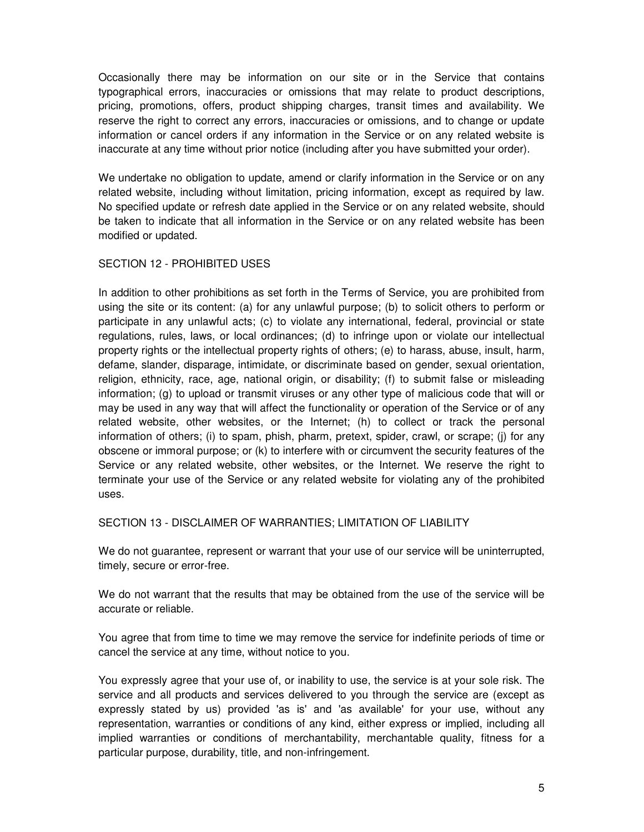Occasionally there may be information on our site or in the Service that contains typographical errors, inaccuracies or omissions that may relate to product descriptions, pricing, promotions, offers, product shipping charges, transit times and availability. We reserve the right to correct any errors, inaccuracies or omissions, and to change or update information or cancel orders if any information in the Service or on any related website is inaccurate at any time without prior notice (including after you have submitted your order).

We undertake no obligation to update, amend or clarify information in the Service or on any related website, including without limitation, pricing information, except as required by law. No specified update or refresh date applied in the Service or on any related website, should be taken to indicate that all information in the Service or on any related website has been modified or updated.

# SECTION 12 - PROHIBITED USES

In addition to other prohibitions as set forth in the Terms of Service, you are prohibited from using the site or its content: (a) for any unlawful purpose; (b) to solicit others to perform or participate in any unlawful acts; (c) to violate any international, federal, provincial or state regulations, rules, laws, or local ordinances; (d) to infringe upon or violate our intellectual property rights or the intellectual property rights of others; (e) to harass, abuse, insult, harm, defame, slander, disparage, intimidate, or discriminate based on gender, sexual orientation, religion, ethnicity, race, age, national origin, or disability; (f) to submit false or misleading information; (g) to upload or transmit viruses or any other type of malicious code that will or may be used in any way that will affect the functionality or operation of the Service or of any related website, other websites, or the Internet; (h) to collect or track the personal information of others; (i) to spam, phish, pharm, pretext, spider, crawl, or scrape; (j) for any obscene or immoral purpose; or (k) to interfere with or circumvent the security features of the Service or any related website, other websites, or the Internet. We reserve the right to terminate your use of the Service or any related website for violating any of the prohibited uses.

# SECTION 13 - DISCLAIMER OF WARRANTIES; LIMITATION OF LIABILITY

We do not guarantee, represent or warrant that your use of our service will be uninterrupted, timely, secure or error-free.

We do not warrant that the results that may be obtained from the use of the service will be accurate or reliable.

You agree that from time to time we may remove the service for indefinite periods of time or cancel the service at any time, without notice to you.

You expressly agree that your use of, or inability to use, the service is at your sole risk. The service and all products and services delivered to you through the service are (except as expressly stated by us) provided 'as is' and 'as available' for your use, without any representation, warranties or conditions of any kind, either express or implied, including all implied warranties or conditions of merchantability, merchantable quality, fitness for a particular purpose, durability, title, and non-infringement.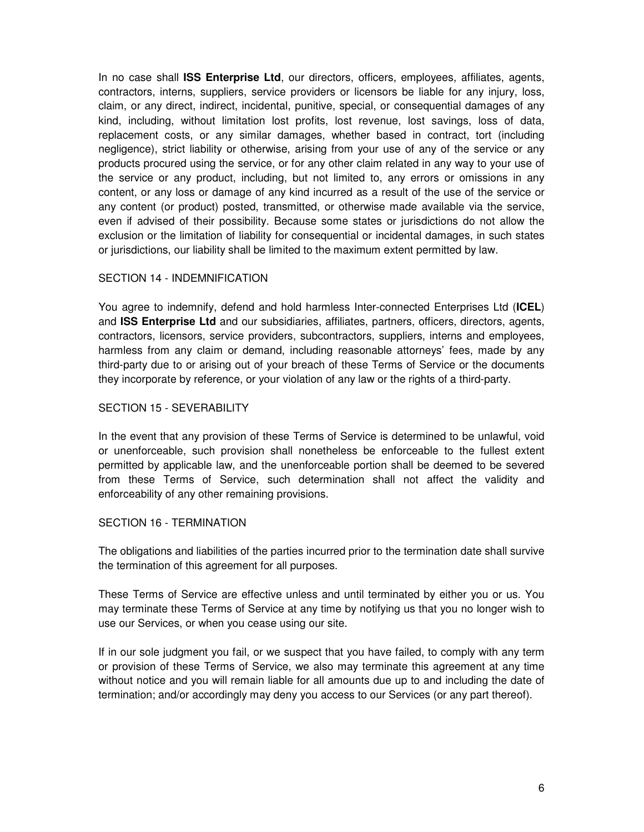In no case shall **ISS Enterprise Ltd**, our directors, officers, employees, affiliates, agents, contractors, interns, suppliers, service providers or licensors be liable for any injury, loss, claim, or any direct, indirect, incidental, punitive, special, or consequential damages of any kind, including, without limitation lost profits, lost revenue, lost savings, loss of data, replacement costs, or any similar damages, whether based in contract, tort (including negligence), strict liability or otherwise, arising from your use of any of the service or any products procured using the service, or for any other claim related in any way to your use of the service or any product, including, but not limited to, any errors or omissions in any content, or any loss or damage of any kind incurred as a result of the use of the service or any content (or product) posted, transmitted, or otherwise made available via the service, even if advised of their possibility. Because some states or jurisdictions do not allow the exclusion or the limitation of liability for consequential or incidental damages, in such states or jurisdictions, our liability shall be limited to the maximum extent permitted by law.

#### SECTION 14 - INDEMNIFICATION

You agree to indemnify, defend and hold harmless Inter-connected Enterprises Ltd (**ICEL**) and **ISS Enterprise Ltd** and our subsidiaries, affiliates, partners, officers, directors, agents, contractors, licensors, service providers, subcontractors, suppliers, interns and employees, harmless from any claim or demand, including reasonable attorneys' fees, made by any third-party due to or arising out of your breach of these Terms of Service or the documents they incorporate by reference, or your violation of any law or the rights of a third-party.

# SECTION 15 - SEVERABILITY

In the event that any provision of these Terms of Service is determined to be unlawful, void or unenforceable, such provision shall nonetheless be enforceable to the fullest extent permitted by applicable law, and the unenforceable portion shall be deemed to be severed from these Terms of Service, such determination shall not affect the validity and enforceability of any other remaining provisions.

# SECTION 16 - TERMINATION

The obligations and liabilities of the parties incurred prior to the termination date shall survive the termination of this agreement for all purposes.

These Terms of Service are effective unless and until terminated by either you or us. You may terminate these Terms of Service at any time by notifying us that you no longer wish to use our Services, or when you cease using our site.

If in our sole judgment you fail, or we suspect that you have failed, to comply with any term or provision of these Terms of Service, we also may terminate this agreement at any time without notice and you will remain liable for all amounts due up to and including the date of termination; and/or accordingly may deny you access to our Services (or any part thereof).